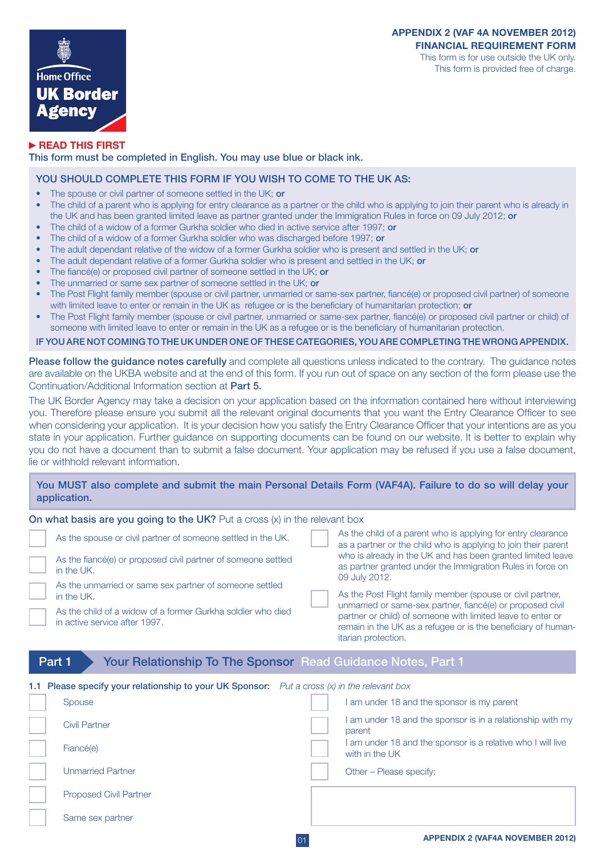

## **READ THIS FIRST**

This form must be completed in English. You may use blue or black ink.

## YOU SHOULD COMPLETE THIS FORM IF YOU WISH TO COME TO THE UK AS:

- The spouse or civil partner of someone settled in the UK; or
- The child of a parent who is applying for entry clearance as a partner or the child who is applying to join their parent who is already in the UK and has been granted limited leave as partner granted under the Immigration Rules in force on 09 July 2012; or
- The child of a widow of a former Gurkha soldier who died in active service after 1997; or
- The child of a widow of a former Gurkha soldier who was discharged before 1997; or
- The adult dependant relative of the widow of a former Gurkha soldier who is present and settled in the UK; or
- The adult dependant relative of a former Gurkha soldier who is present and settled in the UK; or
- The fiancé(e) or proposed civil partner of someone settled in the UK; or
- The unmarried or same sex partner of someone settled in the UK; or
- The Post Flight family member (spouse or civil partner, unmarried or same-sex partner, fiancé(e) or proposed civil partner) of someone with limited leave to enter or remain in the UK as refugee or is the beneficiary of humanitarian protection; or
- The Post Flight family member (spouse or civil partner, unmarried or same-sex partner, fiancé(e) or proposed civil partner or child) of someone with limited leave to enter or remain in the UK as a refugee or is the beneficiary of humanitarian protection.

## IF YOU ARE NOT COMING TO THE UK UNDER ONE OF THESE CATEGORIES, YOU ARE COMPLETING THE WRONG APPENDIX.

Please follow the guidance notes carefully and complete all questions unless indicated to the contrary. The guidance notes are available on the UKBA website and at the end of this form. If you run out of space on any section of the form please use the Continuation/Additional Information section at Part 5.

The UK Border Agency may take a decision on your application based on the information contained here without interviewing you. Therefore please ensure you submit all the relevant original documents that you want the Entry Clearance Officer to see when considering your application. It is your decision how you satisfy the Entry Clearance Officer that your intentions are as you state in your application. Further guidance on supporting documents can be found on our website. It is better to explain why you do not have a document than to submit a false document. Your application may be refused if you use a false document, lie or withhold relevant information.

# You MUST also complete and submit the main Personal Details Form (VAF4A). Failure to do so will delay your application.

| On what basis are you going to the UK? Put a cross $(x)$ in the relevant box                                                                                          |                                                                                                                                                                                                                                                                                 |  |  |
|-----------------------------------------------------------------------------------------------------------------------------------------------------------------------|---------------------------------------------------------------------------------------------------------------------------------------------------------------------------------------------------------------------------------------------------------------------------------|--|--|
| As the spouse or civil partner of someone settled in the UK.                                                                                                          | As the child of a parent who is applying for entry clearance<br>as a partner or the child who is applying to join their parent                                                                                                                                                  |  |  |
| As the fiance (e) or proposed civil partner of someone settled<br>in the UK.                                                                                          | who is already in the UK and has been granted limited leave<br>as partner granted under the Immigration Rules in force on<br>09 July 2012.                                                                                                                                      |  |  |
| As the unmarried or same sex partner of someone settled<br>in the UK.<br>As the child of a widow of a former Gurkha soldier who died<br>in active service after 1997. | As the Post Flight family member (spouse or civil partner,<br>unmarried or same-sex partner, fiancé(e) or proposed civil<br>partner or child) of someone with limited leave to enter or<br>remain in the UK as a refugee or is the beneficiary of human-<br>itarian protection. |  |  |
| <b>Your Relationship To The Sponsor Read Guidance Notes, Part 1</b><br>Part 1                                                                                         |                                                                                                                                                                                                                                                                                 |  |  |

# Part 1 Your Relationship To The Sponsor Read Guidance Notes, Part 1

| 1.1 Please specify your relationship to your UK Sponsor: Put a cross $(x)$ in the relevant box |                                                                               |
|------------------------------------------------------------------------------------------------|-------------------------------------------------------------------------------|
| Spouse                                                                                         | am under 18 and the sponsor is my parent                                      |
| <b>Civil Partner</b>                                                                           | I am under 18 and the sponsor is in a relationship with my<br>parent          |
| Fiancé(e)                                                                                      | I am under 18 and the sponsor is a relative who I will live<br>with in the UK |
| <b>Unmarried Partner</b>                                                                       | Other - Please specify:                                                       |
| <b>Proposed Civil Partner</b>                                                                  |                                                                               |
| Same sex partner                                                                               |                                                                               |
|                                                                                                |                                                                               |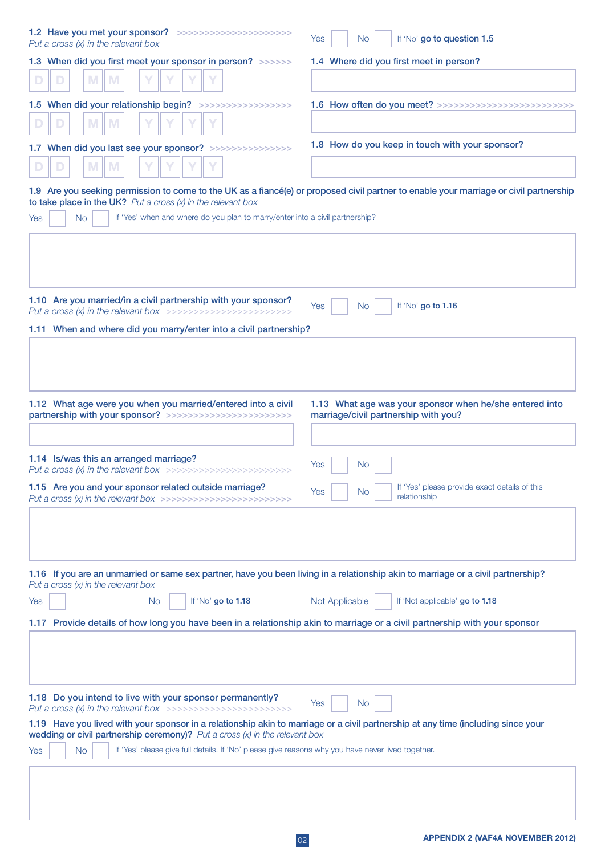| 1.2 Have you met your sponsor? >>>>>>>>>>>>>>>>>>>>>>>>><br>Put a cross $(x)$ in the relevant box                                                                                                                  | If 'No' go to question 1.5<br>Yes<br>No.                                                        |
|--------------------------------------------------------------------------------------------------------------------------------------------------------------------------------------------------------------------|-------------------------------------------------------------------------------------------------|
| 1.3 When did you first meet your sponsor in person? >>>>>>>                                                                                                                                                        | 1.4 Where did you first meet in person?                                                         |
| M<br>M                                                                                                                                                                                                             |                                                                                                 |
| 1.5 When did your relationship begin? >>>>>>>>>>>>>>>>>>>>                                                                                                                                                         | 1.6 How often do you meet? >>>>>>>>>>>>>>>>>>>                                                  |
| M<br>M                                                                                                                                                                                                             |                                                                                                 |
| 1.7 When did you last see your sponsor? >>>>>>>>>>>>>>>>>                                                                                                                                                          | 1.8 How do you keep in touch with your sponsor?                                                 |
| M                                                                                                                                                                                                                  |                                                                                                 |
| 1.9 Are you seeking permission to come to the UK as a fiancé(e) or proposed civil partner to enable your marriage or civil partnership<br>to take place in the UK? Put a cross $(x)$ in the relevant box           |                                                                                                 |
| If 'Yes' when and where do you plan to marry/enter into a civil partnership?<br><b>No</b><br>Yes                                                                                                                   |                                                                                                 |
|                                                                                                                                                                                                                    |                                                                                                 |
| 1.10 Are you married/in a civil partnership with your sponsor?<br>Put a cross $(x)$ in the relevant box >>>>>>>>>>>>>>>>>>>>>>>>>>>>>                                                                              | If 'No' go to 1.16<br>Yes<br>No.                                                                |
| 1.11 When and where did you marry/enter into a civil partnership?                                                                                                                                                  |                                                                                                 |
|                                                                                                                                                                                                                    |                                                                                                 |
| 1.12 What age were you when you married/entered into a civil<br>partnership with your sponsor? >>>>>>>>>>>>>>>>>>>>>>>>>>                                                                                          | 1.13 What age was your sponsor when he/she entered into<br>marriage/civil partnership with you? |
|                                                                                                                                                                                                                    |                                                                                                 |
| 1.14 Is/was this an arranged marriage?<br>Put a cross (x) in the relevant box >>>>>>>>>>>>>>>>>>>>>>>>>>                                                                                                           | Yes<br>No.                                                                                      |
| 1.15 Are you and your sponsor related outside marriage?<br>Put a cross (x) in the relevant box >>>>>>>>>>>>>>>>>>>>>>>>>>                                                                                          | If 'Yes' please provide exact details of this<br>Yes<br>No.<br>relationship                     |
|                                                                                                                                                                                                                    |                                                                                                 |
| 1.16 If you are an unmarried or same sex partner, have you been living in a relationship akin to marriage or a civil partnership?<br>Put a cross $(x)$ in the relevant box                                         |                                                                                                 |
| If 'No' go to 1.18<br><b>No</b><br>Yes                                                                                                                                                                             | If 'Not applicable' go to 1.18<br>Not Applicable                                                |
| 1.17 Provide details of how long you have been in a relationship akin to marriage or a civil partnership with your sponsor                                                                                         |                                                                                                 |
|                                                                                                                                                                                                                    |                                                                                                 |
| 1.18 Do you intend to live with your sponsor permanently?<br>Put a cross (x) in the relevant box >>>>>>>>>>>>>>>>>>>>>>>>>>>                                                                                       | Yes<br>No.                                                                                      |
| 1.19 Have you lived with your sponsor in a relationship akin to marriage or a civil partnership at any time (including since your<br>wedding or civil partnership ceremony)? Put a cross $(x)$ in the relevant box |                                                                                                 |
| If 'Yes' please give full details. If 'No' please give reasons why you have never lived together.<br><b>No</b><br>Yes                                                                                              |                                                                                                 |
|                                                                                                                                                                                                                    |                                                                                                 |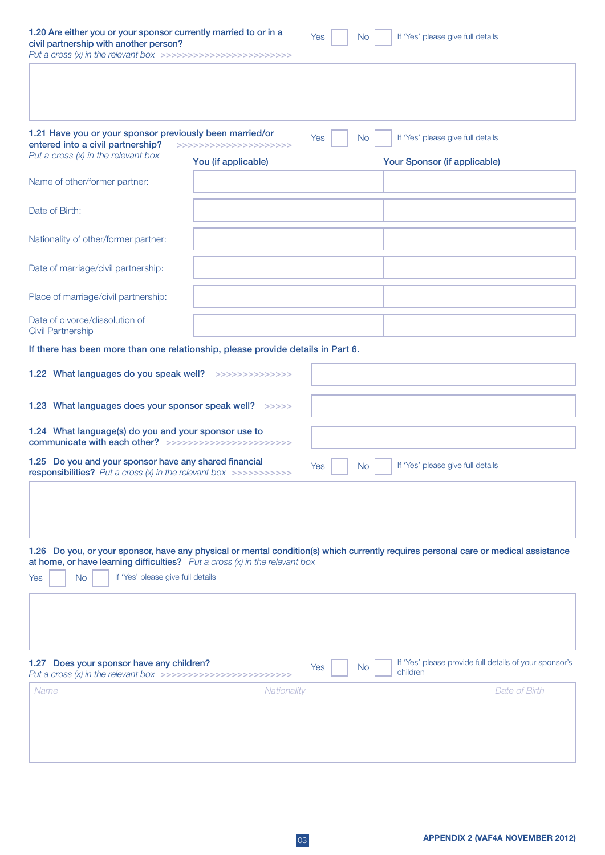| 1.20 Are either you or your sponsor currently married to or in a<br>civil partnership with another person?<br>Put a cross $(x)$ in the relevant box >>>>>>>>>>>>>>>>>>>>>>>>>> |                                                | Yes<br><b>No</b> | If 'Yes' please give full details                                                                                                   |
|--------------------------------------------------------------------------------------------------------------------------------------------------------------------------------|------------------------------------------------|------------------|-------------------------------------------------------------------------------------------------------------------------------------|
|                                                                                                                                                                                |                                                |                  |                                                                                                                                     |
| 1.21 Have you or your sponsor previously been married/or<br>entered into a civil partnership?<br>Put a cross $(x)$ in the relevant box                                         | >>>>>>>>>>>>>>>>>>>>>>><br>You (if applicable) | Yes<br><b>No</b> | If 'Yes' please give full details<br>Your Sponsor (if applicable)                                                                   |
| Name of other/former partner:                                                                                                                                                  |                                                |                  |                                                                                                                                     |
| Date of Birth:                                                                                                                                                                 |                                                |                  |                                                                                                                                     |
| Nationality of other/former partner:                                                                                                                                           |                                                |                  |                                                                                                                                     |
| Date of marriage/civil partnership:                                                                                                                                            |                                                |                  |                                                                                                                                     |
| Place of marriage/civil partnership:                                                                                                                                           |                                                |                  |                                                                                                                                     |
| Date of divorce/dissolution of<br><b>Civil Partnership</b>                                                                                                                     |                                                |                  |                                                                                                                                     |
| If there has been more than one relationship, please provide details in Part 6.                                                                                                |                                                |                  |                                                                                                                                     |
| 1.22 What languages do you speak well? >>>>>>>>>>>>>>>>                                                                                                                        |                                                |                  |                                                                                                                                     |
| 1.23 What languages does your sponsor speak well? >>>>>>                                                                                                                       |                                                |                  |                                                                                                                                     |
| 1.24 What language(s) do you and your sponsor use to<br>communicate with each other? >>>>>>>>>>>>>>>>>>>>>>>>>>>                                                               |                                                |                  |                                                                                                                                     |
| 1.25 Do you and your sponsor have any shared financial<br><b>responsibilities?</b> Put a cross $(x)$ in the relevant box >>>>>>>>>>>>                                          |                                                | Yes<br><b>No</b> | If 'Yes' please give full details                                                                                                   |
|                                                                                                                                                                                |                                                |                  |                                                                                                                                     |
| at home, or have learning difficulties? $Put a cross (x) in the relevant box$<br>If 'Yes' please give full details<br><b>No</b><br>Yes                                         |                                                |                  | 1.26 Do you, or your sponsor, have any physical or mental condition(s) which currently requires personal care or medical assistance |
|                                                                                                                                                                                |                                                |                  |                                                                                                                                     |
| 1.27 Does your sponsor have any children?<br>Put a cross $(x)$ in the relevant box >>>>>>>>>>>>>>>>>>>>>>>>>>>                                                                 |                                                | Yes<br><b>No</b> | If 'Yes' please provide full details of your sponsor's<br>children                                                                  |
| Name                                                                                                                                                                           | Nationality                                    |                  | Date of Birth                                                                                                                       |
|                                                                                                                                                                                |                                                |                  |                                                                                                                                     |
|                                                                                                                                                                                |                                                |                  |                                                                                                                                     |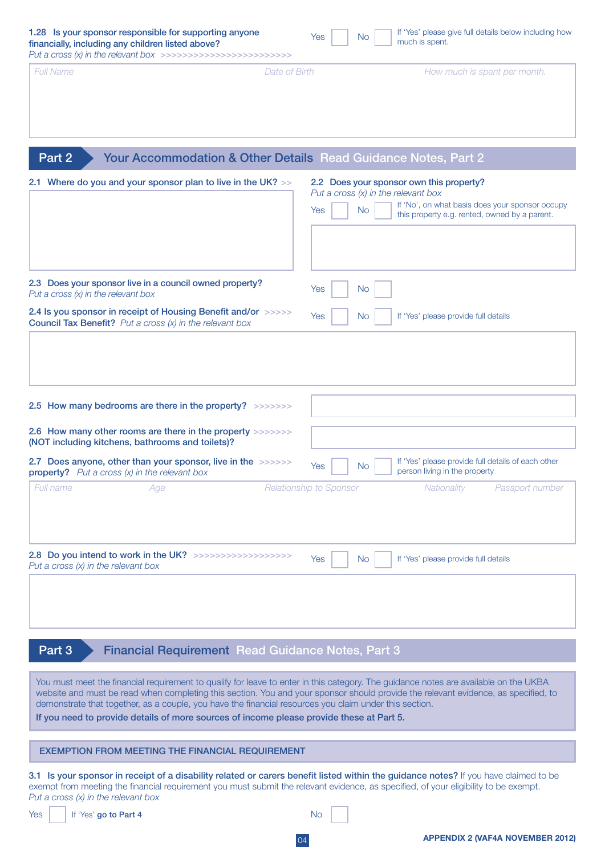| 1.28 Is your sponsor responsible for supporting anyone<br>financially, including any children listed above?<br>Put a cross $(x)$ in the relevant box >>>>>>>>>>>>>>>>>>>>>>>>>>>>                                                                                                                                                                                                                                                                                                | If 'Yes' please give full details below including how<br>Yes<br><b>No</b><br>much is spent.                                                                                                               |
|----------------------------------------------------------------------------------------------------------------------------------------------------------------------------------------------------------------------------------------------------------------------------------------------------------------------------------------------------------------------------------------------------------------------------------------------------------------------------------|-----------------------------------------------------------------------------------------------------------------------------------------------------------------------------------------------------------|
| Full Name<br>Date of Birth                                                                                                                                                                                                                                                                                                                                                                                                                                                       | How much is spent per month.                                                                                                                                                                              |
| Part 2<br>Your Accommodation & Other Details Read Guidance Notes, Part 2                                                                                                                                                                                                                                                                                                                                                                                                         |                                                                                                                                                                                                           |
| 2.1 Where do you and your sponsor plan to live in the UK? >>                                                                                                                                                                                                                                                                                                                                                                                                                     | 2.2 Does your sponsor own this property?<br>Put a cross $(x)$ in the relevant box<br>If 'No', on what basis does your sponsor occupy<br><b>No</b><br>Yes<br>this property e.g. rented, owned by a parent. |
| 2.3 Does your sponsor live in a council owned property?<br>Put a cross $(x)$ in the relevant box<br>2.4 Is you sponsor in receipt of Housing Benefit and/or >>>>><br><b>Council Tax Benefit?</b> Put a cross $(x)$ in the relevant box                                                                                                                                                                                                                                           | <b>No</b><br>Yes<br>If 'Yes' please provide full details<br><b>Yes</b><br>No.                                                                                                                             |
| 2.5 How many bedrooms are there in the property? >>>>>>>><br>2.6 How many other rooms are there in the property >>>>>>>><br>(NOT including kitchens, bathrooms and toilets)?                                                                                                                                                                                                                                                                                                     |                                                                                                                                                                                                           |
| 2.7 Does anyone, other than your sponsor, live in the >>>>>>><br><b>property?</b> Put a cross $(x)$ in the relevant box                                                                                                                                                                                                                                                                                                                                                          | If 'Yes' please provide full details of each other<br>Yes<br><b>No</b><br>person living in the property                                                                                                   |
| Full name<br>Age                                                                                                                                                                                                                                                                                                                                                                                                                                                                 | Relationship to Sponsor<br>Nationality<br>Passport number                                                                                                                                                 |
| 2.8 Do you intend to work in the UK? >>>>>>>>>>>>>>>>>>>>><br>Put a cross $(x)$ in the relevant box                                                                                                                                                                                                                                                                                                                                                                              | If 'Yes' please provide full details<br>Yes<br><b>No</b>                                                                                                                                                  |
| <b>Financial Requirement Read Guidance Notes, Part 3</b><br>Part 3                                                                                                                                                                                                                                                                                                                                                                                                               |                                                                                                                                                                                                           |
| You must meet the financial requirement to qualify for leave to enter in this category. The guidance notes are available on the UKBA<br>website and must be read when completing this section. You and your sponsor should provide the relevant evidence, as specified, to<br>demonstrate that together, as a couple, you have the financial resources you claim under this section.<br>If you need to provide details of more sources of income please provide these at Part 5. |                                                                                                                                                                                                           |
| <b>EXEMPTION FROM MEETING THE FINANCIAL REQUIREMENT</b>                                                                                                                                                                                                                                                                                                                                                                                                                          |                                                                                                                                                                                                           |
| 3.1 Is your sponsor in receipt of a disability related or carers benefit listed within the guidance notes? If you have claimed to be<br>exempt from meeting the financial requirement you must submit the relevant evidence, as specified, of your eligibility to be exempt.<br>Put a cross $(x)$ in the relevant box                                                                                                                                                            |                                                                                                                                                                                                           |
| Yes<br>If 'Yes' go to Part 4                                                                                                                                                                                                                                                                                                                                                                                                                                                     | No.                                                                                                                                                                                                       |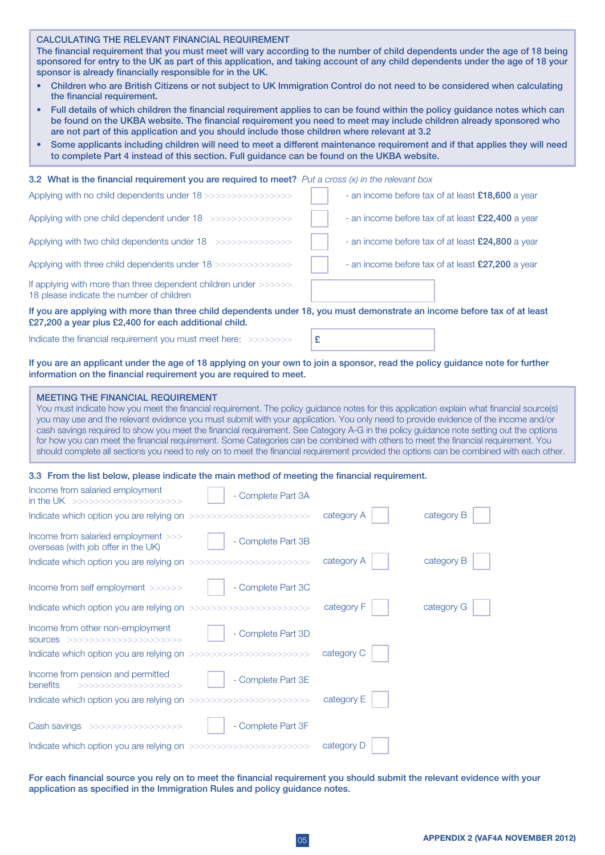| <b>CALCULATING THE RELEVANT FINANCIAL REQUIREMENT</b>                                                                          |
|--------------------------------------------------------------------------------------------------------------------------------|
| The financial requirement that you must meet will vary according to the number of child dependents under the age of 18 being   |
| sponsored for entry to the UK as part of this application, and taking account of any child dependents under the age of 18 your |

sponsor is already financially responsible for in the UK. Children who are British Citizens or not subject to UK Immigration Control do not need to be considered when calculating

- the financial requirement.
- Full details of which children the financial requirement applies to can be found within the policy guidance notes which can be found on the UKBA website. The financial requirement you need to meet may include children already sponsored who are not part of this application and you should include those children where relevant at 3.2
- Some applicants including children will need to meet a different maintenance requirement and if that applies they will need to complete Part 4 instead of this section. Full guidance can be found on the UKBA website.

3.2 What is the financial requirement you are required to meet? *Put a cross (x) in the relevant box* 

| If you are applying with more than three abild dependents under 10 you must demonstrate an income hefere toy of at legat |                                                   |
|--------------------------------------------------------------------------------------------------------------------------|---------------------------------------------------|
| If applying with more than three dependent children under >>>>>>><br>18 please indicate the number of children           |                                                   |
| Applying with three child dependents under 18 >>>>>>>>>>>>>>>>                                                           | - an income before tax of at least £27,200 a year |
| Applying with two child dependents under 18 >>>>>>>>>>>>>>>>>                                                            | - an income before tax of at least £24,800 a year |
| Applying with one child dependent under 18 >>>>>>>>>>>>>>>>>>                                                            | - an income before tax of at least £22,400 a year |
| Applying with no child dependents under 18>>>>>>>>>>>>>>>>>>>                                                            | - an income before tax of at least £18,600 a year |

If you are applying with more than three child dependents under 18, you must demonstrate an income before tax of at least £27,200 a year plus £2,400 for each additional child.

Indicate the financial requirement you must meet here: >>>>>>>>

£

If you are an applicant under the age of 18 applying on your own to join a sponsor, read the policy guidance note for further information on the financial requirement you are required to meet.

#### MEETING THE FINANCIAL REQUIREMENT

You must indicate how you meet the financial requirement. The policy guidance notes for this application explain what financial source(s) you may use and the relevant evidence you must submit with your application. You only need to provide evidence of the income and/or cash savings required to show you meet the financial requirement. See Category A-G in the policy guidance note setting out the options for how you can meet the financial requirement. Some Categories can be combined with others to meet the financial requirement. You should complete all sections you need to rely on to meet the financial requirement provided the options can be combined with each other.

#### 3.3 From the list below, please indicate the main method of meeting the financial requirement.

| Income from salaried employment<br>in the UK >>>>>>>>>>>>>>>>>>>>>>>               | - Complete Part 3A |            |            |
|------------------------------------------------------------------------------------|--------------------|------------|------------|
|                                                                                    |                    | category A | category B |
| Income from salaried employment >>><br>overseas (with job offer in the UK)         | - Complete Part 3B |            |            |
|                                                                                    |                    | category A | category B |
| Income from self employment >>>>>>                                                 | - Complete Part 3C |            |            |
|                                                                                    |                    | category F | category G |
| Income from other non-employment<br>SOUICES >>>>>>>>>>>>>>>>>>>>>>>>               | - Complete Part 3D |            |            |
|                                                                                    |                    | category C |            |
| Income from pension and permitted<br>benefits<br>$\rightarrow$ >>>>>>>>>>>>>>>>>>> | - Complete Part 3E |            |            |
|                                                                                    |                    | category E |            |
| Cash savings >>>>>>>>>>>>>>>>>>>>                                                  | - Complete Part 3F |            |            |
|                                                                                    |                    | category D |            |

For each financial source you rely on to meet the financial requirement you should submit the relevant evidence with your application as specified in the Immigration Rules and policy guidance notes.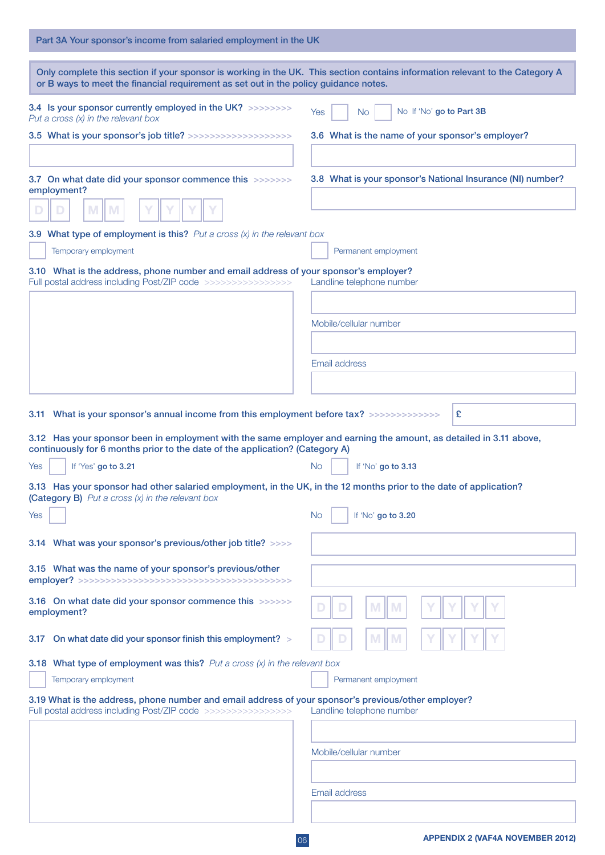| Part 3A Your sponsor's income from salaried employment in the UK                                                                                                                                   |                                                                                                                               |
|----------------------------------------------------------------------------------------------------------------------------------------------------------------------------------------------------|-------------------------------------------------------------------------------------------------------------------------------|
| or B ways to meet the financial requirement as set out in the policy guidance notes.                                                                                                               | Only complete this section if your sponsor is working in the UK. This section contains information relevant to the Category A |
| 3.4 Is your sponsor currently employed in the UK? >>>>>>>>><br>Put a cross $(x)$ in the relevant box                                                                                               | No If 'No' go to Part 3B<br><b>Yes</b><br>No.                                                                                 |
| 3.5 What is your sponsor's job title? >>>>>>>>>>>>>>>>>>>>>>                                                                                                                                       | 3.6 What is the name of your sponsor's employer?                                                                              |
|                                                                                                                                                                                                    |                                                                                                                               |
| 3.7 On what date did your sponsor commence this >>>>>>>><br>employment?                                                                                                                            | 3.8 What is your sponsor's National Insurance (NI) number?                                                                    |
|                                                                                                                                                                                                    |                                                                                                                               |
| 3.9 What type of employment is this? $Put a cross (x) in the relevant box$                                                                                                                         |                                                                                                                               |
| Temporary employment                                                                                                                                                                               | Permanent employment                                                                                                          |
| 3.10 What is the address, phone number and email address of your sponsor's employer?<br>Full postal address including Post/ZIP code >>>>>>>>>>>>>>>>>>>                                            | Landline telephone number                                                                                                     |
|                                                                                                                                                                                                    |                                                                                                                               |
|                                                                                                                                                                                                    | Mobile/cellular number                                                                                                        |
|                                                                                                                                                                                                    |                                                                                                                               |
|                                                                                                                                                                                                    | Email address                                                                                                                 |
|                                                                                                                                                                                                    |                                                                                                                               |
| 3.11 What is your sponsor's annual income from this employment before tax? >>>>>>>>>>>>>>                                                                                                          | £                                                                                                                             |
| 3.12 Has your sponsor been in employment with the same employer and earning the amount, as detailed in 3.11 above,<br>continuously for 6 months prior to the date of the application? (Category A) |                                                                                                                               |
| If 'Yes' go to 3.21<br>Yes                                                                                                                                                                         | No.<br>If 'No' go to 3.13                                                                                                     |
| 3.13 Has your sponsor had other salaried employment, in the UK, in the 12 months prior to the date of application?<br>(Category B) Put a cross $(x)$ in the relevant box                           |                                                                                                                               |
| Yes                                                                                                                                                                                                | <b>No</b><br>If 'No' go to 3.20                                                                                               |
| 3.14 What was your sponsor's previous/other job title? >>>>                                                                                                                                        |                                                                                                                               |
| 3.15 What was the name of your sponsor's previous/other                                                                                                                                            |                                                                                                                               |
| 3.16 On what date did your sponsor commence this >>>>>>><br>employment?                                                                                                                            | M<br><b>M</b>                                                                                                                 |
| On what date did your sponsor finish this employment? ><br>3.17                                                                                                                                    |                                                                                                                               |
| 3.18 What type of employment was this? Put a cross $(x)$ in the relevant box                                                                                                                       |                                                                                                                               |
| Temporary employment                                                                                                                                                                               | Permanent employment                                                                                                          |
| 3.19 What is the address, phone number and email address of your sponsor's previous/other employer?<br>Full postal address including Post/ZIP code >>>>>>>>>>>>>>>>>>>                             | Landline telephone number                                                                                                     |
|                                                                                                                                                                                                    |                                                                                                                               |
|                                                                                                                                                                                                    | Mobile/cellular number                                                                                                        |
|                                                                                                                                                                                                    |                                                                                                                               |
|                                                                                                                                                                                                    | Email address                                                                                                                 |
|                                                                                                                                                                                                    |                                                                                                                               |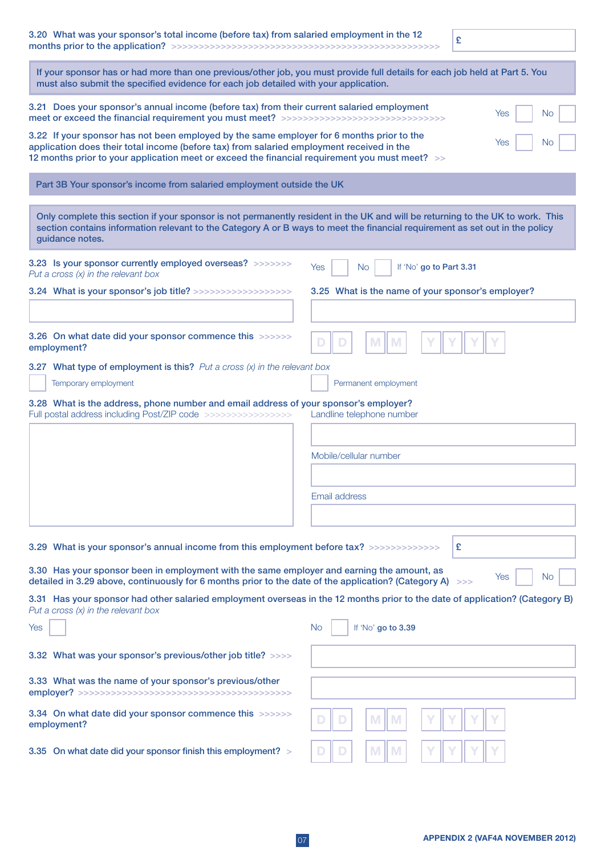| 3.20 What was your sponsor's total income (before tax) from salaried employment in the 12                                                                                                                                                                                                             | £                                                 |  |
|-------------------------------------------------------------------------------------------------------------------------------------------------------------------------------------------------------------------------------------------------------------------------------------------------------|---------------------------------------------------|--|
| If your sponsor has or had more than one previous/other job, you must provide full details for each job held at Part 5. You<br>must also submit the specified evidence for each job detailed with your application.                                                                                   |                                                   |  |
| 3.21 Does your sponsor's annual income (before tax) from their current salaried employment<br>Yes<br>No<br>meet or exceed the financial requirement you must meet? >>>>>>>>>>>>>>>>>>>>>>>>>>>>>>>>>                                                                                                  |                                                   |  |
| 3.22 If your sponsor has not been employed by the same employer for 6 months prior to the<br>Yes<br>No<br>application does their total income (before tax) from salaried employment received in the<br>12 months prior to your application meet or exceed the financial requirement you must meet? >> |                                                   |  |
| Part 3B Your sponsor's income from salaried employment outside the UK                                                                                                                                                                                                                                 |                                                   |  |
| Only complete this section if your sponsor is not permanently resident in the UK and will be returning to the UK to work. This<br>section contains information relevant to the Category A or B ways to meet the financial requirement as set out in the policy<br>guidance notes.                     |                                                   |  |
| 3.23 Is your sponsor currently employed overseas? >>>>>>>><br>Put a cross $(x)$ in the relevant box                                                                                                                                                                                                   | If 'No' go to Part 3.31<br>Yes<br>No.             |  |
| 3.24 What is your sponsor's job title? >>>>>>>>>>>>>>>>>>>>>                                                                                                                                                                                                                                          | 3.25 What is the name of your sponsor's employer? |  |
|                                                                                                                                                                                                                                                                                                       |                                                   |  |
| 3.26 On what date did your sponsor commence this >>>>>>><br>employment?                                                                                                                                                                                                                               |                                                   |  |
| <b>3.27</b> What type of employment is this? Put a cross $(x)$ in the relevant box                                                                                                                                                                                                                    |                                                   |  |
| Temporary employment                                                                                                                                                                                                                                                                                  | Permanent employment                              |  |
| 3.28 What is the address, phone number and email address of your sponsor's employer?<br>Full postal address including Post/ZIP code >>>>>>>>>>>>>>>>>>>                                                                                                                                               | Landline telephone number                         |  |
|                                                                                                                                                                                                                                                                                                       |                                                   |  |
|                                                                                                                                                                                                                                                                                                       | Mobile/cellular number                            |  |
|                                                                                                                                                                                                                                                                                                       |                                                   |  |
|                                                                                                                                                                                                                                                                                                       | Email address                                     |  |
|                                                                                                                                                                                                                                                                                                       |                                                   |  |
|                                                                                                                                                                                                                                                                                                       |                                                   |  |
| 3.29 What is your sponsor's annual income from this employment before tax? >>>>>>>>>>>>>>                                                                                                                                                                                                             | £                                                 |  |
| 3.30 Has your sponsor been in employment with the same employer and earning the amount, as                                                                                                                                                                                                            |                                                   |  |
| detailed in 3.29 above, continuously for 6 months prior to the date of the application? (Category A) >>>                                                                                                                                                                                              | Yes<br>No                                         |  |
| 3.31 Has your sponsor had other salaried employment overseas in the 12 months prior to the date of application? (Category B)<br>Put a cross $(x)$ in the relevant box                                                                                                                                 |                                                   |  |
| Yes                                                                                                                                                                                                                                                                                                   | No.<br>If 'No' go to 3.39                         |  |
| 3.32 What was your sponsor's previous/other job title? >>>>                                                                                                                                                                                                                                           |                                                   |  |
| 3.33 What was the name of your sponsor's previous/other                                                                                                                                                                                                                                               |                                                   |  |
| 3.34 On what date did your sponsor commence this >>>>>>><br>employment?                                                                                                                                                                                                                               | M<br>M                                            |  |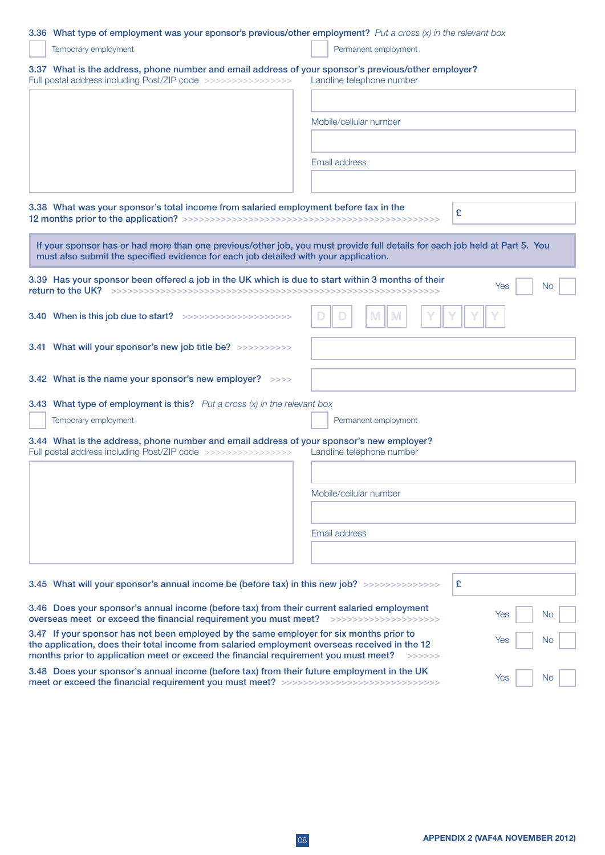## 3.36 What type of employment was your sponsor's previous/other employment? *Put a cross (x) in the relevant box*

| Temporary employment                                                                                                                                                                                                | Permanent employment      |
|---------------------------------------------------------------------------------------------------------------------------------------------------------------------------------------------------------------------|---------------------------|
| 3.37 What is the address, phone number and email address of your sponsor's previous/other employer?<br>Full postal address including Post/ZIP code >>>>>>>>>>>>>>>>>>>                                              | Landline telephone number |
|                                                                                                                                                                                                                     |                           |
|                                                                                                                                                                                                                     | Mobile/cellular number    |
|                                                                                                                                                                                                                     |                           |
|                                                                                                                                                                                                                     | Email address             |
|                                                                                                                                                                                                                     |                           |
| 3.38 What was your sponsor's total income from salaried employment before tax in the                                                                                                                                | £                         |
| If your sponsor has or had more than one previous/other job, you must provide full details for each job held at Part 5. You<br>must also submit the specified evidence for each job detailed with your application. |                           |
| 3.39 Has your sponsor been offered a job in the UK which is due to start within 3 months of their                                                                                                                   | Yes<br>No.                |
| 3.40 When is this job due to start? >>>>>>>>>>>>>>>>>>>>>>>                                                                                                                                                         |                           |
| 3.41 What will your sponsor's new job title be? >>>>>>>>>>>                                                                                                                                                         |                           |
| 3.42 What is the name your sponsor's new employer? >>>>                                                                                                                                                             |                           |
| <b>3.43</b> What type of employment is this? Put a cross $(x)$ in the relevant box                                                                                                                                  |                           |
| Temporary employment                                                                                                                                                                                                | Permanent employment      |
| 3.44 What is the address, phone number and email address of your sponsor's new employer?<br>Full postal address including Post/ZIP code >>>>>>>>>>>>>>>>>>>                                                         | Landline telephone number |
|                                                                                                                                                                                                                     |                           |
|                                                                                                                                                                                                                     | Mobile/cellular number    |
|                                                                                                                                                                                                                     |                           |
|                                                                                                                                                                                                                     | Email address             |
|                                                                                                                                                                                                                     |                           |
| 3.45 What will your sponsor's annual income be (before tax) in this new job? >>>>>>>>>>>>>>>>>>>>>>>                                                                                                                | £                         |
| 3.46 Does your sponsor's annual income (before tax) from their current salaried employment<br>overseas meet or exceed the financial requirement you must meet? >>>>>>>>>>>>>>>>>>>>>>>                              | Yes<br>No                 |
| 3.47 If your sponsor has not been employed by the same employer for six months prior to<br>the application, does their total income from salaried employment overseas received in the 12                            | Yes<br>No                 |
| months prior to application meet or exceed the financial requirement you must meet?                                                                                                                                 | >>>>>>                    |

3.48 Does your sponsor's annual income (before tax) from their future employment in the UK meet or exceed the financial requirement you must meet? >>>>>>>>>>>>>>>>>>>>>>>>>>>>> Yes No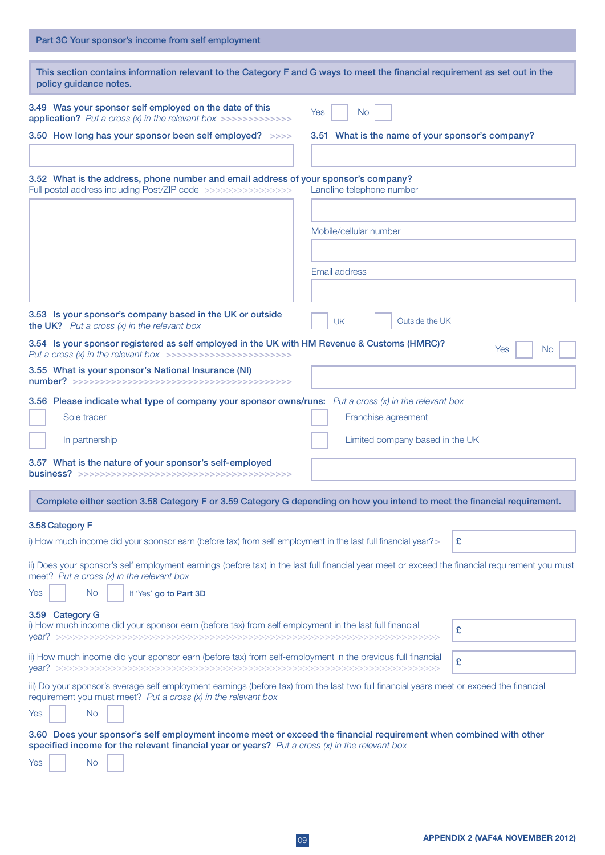| Part 3C Your sponsor's income from self employment                                                                                                                                                                               |                                                  |
|----------------------------------------------------------------------------------------------------------------------------------------------------------------------------------------------------------------------------------|--------------------------------------------------|
| This section contains information relevant to the Category F and G ways to meet the financial requirement as set out in the<br>policy guidance notes.                                                                            |                                                  |
| 3.49 Was your sponsor self employed on the date of this<br>application? Put a cross $(x)$ in the relevant box >>>>>>>>>>>>>>>                                                                                                    | Yes<br><b>No</b>                                 |
| 3.50 How long has your sponsor been self employed? >>>>                                                                                                                                                                          | 3.51 What is the name of your sponsor's company? |
| 3.52 What is the address, phone number and email address of your sponsor's company?<br>Full postal address including Post/ZIP code >>>>>>>>>>>>>>>>>>>                                                                           | Landline telephone number                        |
|                                                                                                                                                                                                                                  |                                                  |
|                                                                                                                                                                                                                                  | Mobile/cellular number                           |
|                                                                                                                                                                                                                                  |                                                  |
|                                                                                                                                                                                                                                  | Email address                                    |
|                                                                                                                                                                                                                                  |                                                  |
| 3.53 Is your sponsor's company based in the UK or outside<br><b>the UK?</b> Put a cross $(x)$ in the relevant box                                                                                                                | <b>UK</b><br>Outside the UK                      |
| 3.54 Is your sponsor registered as self employed in the UK with HM Revenue & Customs (HMRC)?<br>Put a cross (x) in the relevant box >>>>>>>>>>>>>>>>>>>>>>>>>                                                                    | Yes<br>No                                        |
| 3.55 What is your sponsor's National Insurance (NI)                                                                                                                                                                              |                                                  |
| 3.56 Please indicate what type of company your sponsor owns/runs: $Put a cross (x) in the relevant box$                                                                                                                          |                                                  |
| Sole trader                                                                                                                                                                                                                      | Franchise agreement                              |
| In partnership                                                                                                                                                                                                                   | Limited company based in the UK                  |
| 3.57 What is the nature of your sponsor's self-employed                                                                                                                                                                          |                                                  |
| Complete either section 3.58 Category F or 3.59 Category G depending on how you intend to meet the financial requirement.                                                                                                        |                                                  |
| 3.58 Category F                                                                                                                                                                                                                  |                                                  |
| i) How much income did your sponsor earn (before tax) from self employment in the last full financial year? >                                                                                                                    | £                                                |
| ii) Does your sponsor's self employment earnings (before tax) in the last full financial year meet or exceed the financial requirement you must<br>meet? Put a cross (x) in the relevant box                                     |                                                  |
| <b>No</b><br>Yes<br>If 'Yes' go to Part 3D                                                                                                                                                                                       |                                                  |
| 3.59 Category G<br>i) How much income did your sponsor earn (before tax) from self employment in the last full financial                                                                                                         | £                                                |
| ii) How much income did your sponsor earn (before tax) from self-employment in the previous full financial                                                                                                                       | £                                                |
| iii) Do your sponsor's average self employment earnings (before tax) from the last two full financial years meet or exceed the financial<br>requirement you must meet? Put a cross $(x)$ in the relevant box<br><b>No</b><br>Yes |                                                  |
|                                                                                                                                                                                                                                  |                                                  |
| 3.60 Does your sponsor's self employment income meet or exceed the financial requirement when combined with other<br>specified income for the relevant financial year or years? Put a cross $(x)$ in the relevant box            |                                                  |
| Yes<br>No.                                                                                                                                                                                                                       |                                                  |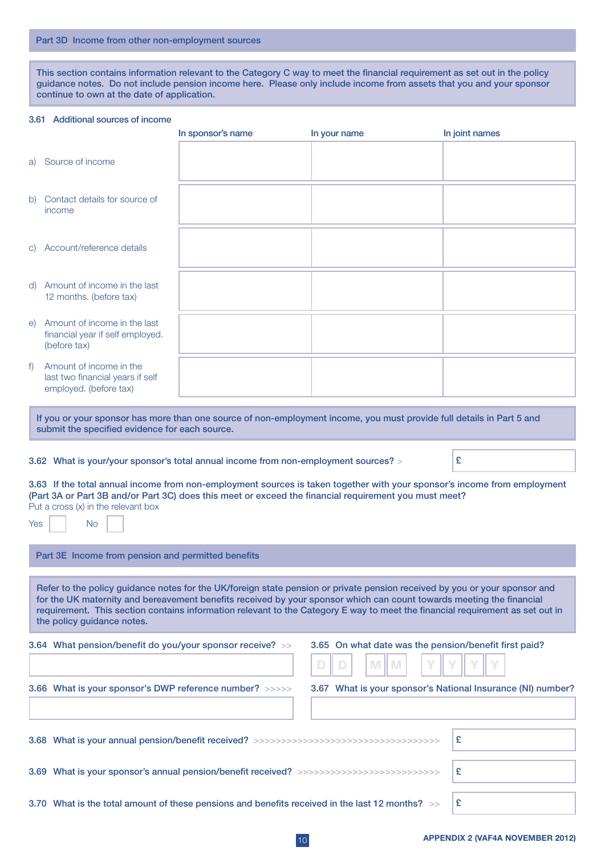This section contains information relevant to the Category C way to meet the financial requirement as set out in the policy guidance notes. Do not include pension income here. Please only include income from assets that you and your sponsor continue to own at the date of application.

#### 3.61 Additional sources of income

|                                                                                                                                                                                                                                                                                                                                                                                                                   |                                                                                                                                                                         | In sponsor's name | In your name                                                | In joint names |
|-------------------------------------------------------------------------------------------------------------------------------------------------------------------------------------------------------------------------------------------------------------------------------------------------------------------------------------------------------------------------------------------------------------------|-------------------------------------------------------------------------------------------------------------------------------------------------------------------------|-------------------|-------------------------------------------------------------|----------------|
| a)                                                                                                                                                                                                                                                                                                                                                                                                                | Source of income                                                                                                                                                        |                   |                                                             |                |
| b)                                                                                                                                                                                                                                                                                                                                                                                                                | Contact details for source of<br>income                                                                                                                                 |                   |                                                             |                |
|                                                                                                                                                                                                                                                                                                                                                                                                                   | c) Account/reference details                                                                                                                                            |                   |                                                             |                |
|                                                                                                                                                                                                                                                                                                                                                                                                                   | d) Amount of income in the last<br>12 months. (before tax)                                                                                                              |                   |                                                             |                |
| e)                                                                                                                                                                                                                                                                                                                                                                                                                | Amount of income in the last<br>financial year if self employed.<br>(before tax)                                                                                        |                   |                                                             |                |
| f                                                                                                                                                                                                                                                                                                                                                                                                                 | Amount of income in the<br>last two financial years if self<br>employed. (before tax)                                                                                   |                   |                                                             |                |
|                                                                                                                                                                                                                                                                                                                                                                                                                   |                                                                                                                                                                         |                   |                                                             |                |
|                                                                                                                                                                                                                                                                                                                                                                                                                   | If you or your sponsor has more than one source of non-employment income, you must provide full details in Part 5 and<br>submit the specified evidence for each source. |                   |                                                             |                |
|                                                                                                                                                                                                                                                                                                                                                                                                                   |                                                                                                                                                                         |                   |                                                             |                |
|                                                                                                                                                                                                                                                                                                                                                                                                                   | 3.62 What is your/your sponsor's total annual income from non-employment sources? >                                                                                     |                   |                                                             | £              |
| 3.63 If the total annual income from non-employment sources is taken together with your sponsor's income from employment<br>(Part 3A or Part 3B and/or Part 3C) does this meet or exceed the financial requirement you must meet?<br>Put a cross (x) in the relevant box<br><b>No</b><br>Yes                                                                                                                      |                                                                                                                                                                         |                   |                                                             |                |
|                                                                                                                                                                                                                                                                                                                                                                                                                   |                                                                                                                                                                         |                   |                                                             |                |
|                                                                                                                                                                                                                                                                                                                                                                                                                   | Part 3E Income from pension and permitted benefits                                                                                                                      |                   |                                                             |                |
| Refer to the policy guidance notes for the UK/foreign state pension or private pension received by you or your sponsor and<br>for the UK maternity and bereavement benefits received by your sponsor which can count towards meeting the financial<br>requirement. This section contains information relevant to the Category E way to meet the financial requirement as set out in<br>the policy guidance notes. |                                                                                                                                                                         |                   |                                                             |                |
|                                                                                                                                                                                                                                                                                                                                                                                                                   | 3.64 What pension/benefit do you/your sponsor receive? >>                                                                                                               |                   | 3.65 On what date was the pension/benefit first paid?       |                |
|                                                                                                                                                                                                                                                                                                                                                                                                                   | 3.66 What is your sponsor's DWP reference number? >>>>>                                                                                                                 |                   | 3.67 What is your sponsor's National Insurance (NI) number? |                |
|                                                                                                                                                                                                                                                                                                                                                                                                                   |                                                                                                                                                                         |                   |                                                             |                |
|                                                                                                                                                                                                                                                                                                                                                                                                                   |                                                                                                                                                                         |                   |                                                             | £              |
|                                                                                                                                                                                                                                                                                                                                                                                                                   |                                                                                                                                                                         |                   |                                                             | £              |
|                                                                                                                                                                                                                                                                                                                                                                                                                   | 3.70 What is the total amount of these pensions and benefits received in the last 12 months? >>                                                                         |                   |                                                             | £              |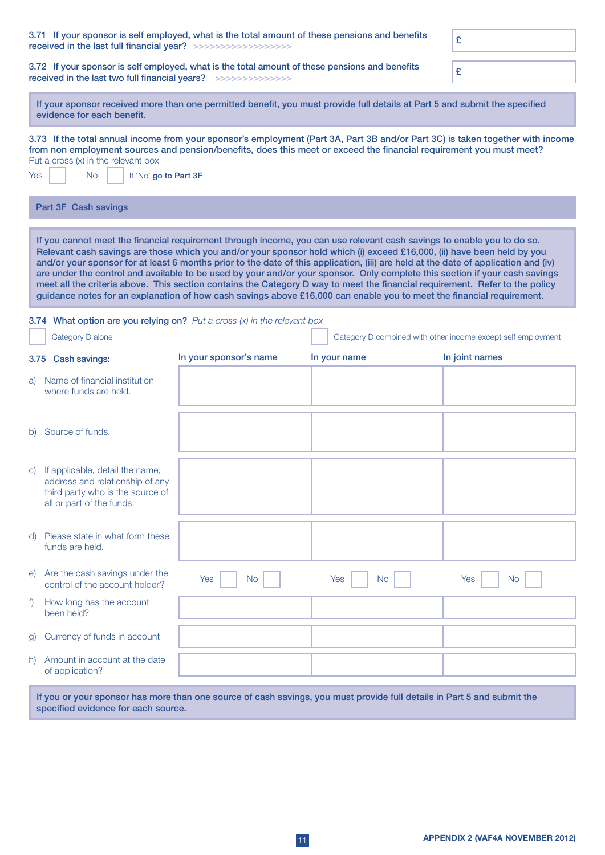|                                                                                                                                                                    | 3.71 If your sponsor is self employed, what is the total amount of these pensions and benefits<br>£<br>received in the last full financial year? >>>>>>>>>>>>>>>>>>>> |                        |                                                                                                                                                                                                                                                                                                                                                                                                                                                                                                                                                                                                                                                                                                                                                                                  |                                                              |
|--------------------------------------------------------------------------------------------------------------------------------------------------------------------|-----------------------------------------------------------------------------------------------------------------------------------------------------------------------|------------------------|----------------------------------------------------------------------------------------------------------------------------------------------------------------------------------------------------------------------------------------------------------------------------------------------------------------------------------------------------------------------------------------------------------------------------------------------------------------------------------------------------------------------------------------------------------------------------------------------------------------------------------------------------------------------------------------------------------------------------------------------------------------------------------|--------------------------------------------------------------|
| 3.72 If your sponsor is self employed, what is the total amount of these pensions and benefits<br>received in the last two full financial years? >>>>>>>>>>>>>>>>> |                                                                                                                                                                       |                        | £                                                                                                                                                                                                                                                                                                                                                                                                                                                                                                                                                                                                                                                                                                                                                                                |                                                              |
|                                                                                                                                                                    | evidence for each benefit.                                                                                                                                            |                        | If your sponsor received more than one permitted benefit, you must provide full details at Part 5 and submit the specified                                                                                                                                                                                                                                                                                                                                                                                                                                                                                                                                                                                                                                                       |                                                              |
| Yes                                                                                                                                                                | Put a cross $(x)$ in the relevant box<br><b>No</b><br>If 'No' go to Part 3F                                                                                           |                        | 3.73 If the total annual income from your sponsor's employment (Part 3A, Part 3B and/or Part 3C) is taken together with income<br>from non employment sources and pension/benefits, does this meet or exceed the financial requirement you must meet?                                                                                                                                                                                                                                                                                                                                                                                                                                                                                                                            |                                                              |
|                                                                                                                                                                    | Part 3F Cash savings                                                                                                                                                  |                        |                                                                                                                                                                                                                                                                                                                                                                                                                                                                                                                                                                                                                                                                                                                                                                                  |                                                              |
|                                                                                                                                                                    |                                                                                                                                                                       |                        | If you cannot meet the financial requirement through income, you can use relevant cash savings to enable you to do so.<br>Relevant cash savings are those which you and/or your sponsor hold which (i) exceed £16,000, (ii) have been held by you<br>and/or your sponsor for at least 6 months prior to the date of this application, (iii) are held at the date of application and (iv)<br>are under the control and available to be used by your and/or your sponsor. Only complete this section if your cash savings<br>meet all the criteria above. This section contains the Category D way to meet the financial requirement. Refer to the policy<br>guidance notes for an explanation of how cash savings above £16,000 can enable you to meet the financial requirement. |                                                              |
|                                                                                                                                                                    | 3.74 What option are you relying on? Put a cross $(x)$ in the relevant box                                                                                            |                        |                                                                                                                                                                                                                                                                                                                                                                                                                                                                                                                                                                                                                                                                                                                                                                                  |                                                              |
|                                                                                                                                                                    | Category D alone                                                                                                                                                      |                        |                                                                                                                                                                                                                                                                                                                                                                                                                                                                                                                                                                                                                                                                                                                                                                                  | Category D combined with other income except self employment |
|                                                                                                                                                                    | 3.75 Cash savings:                                                                                                                                                    | In your sponsor's name | In your name                                                                                                                                                                                                                                                                                                                                                                                                                                                                                                                                                                                                                                                                                                                                                                     | In joint names                                               |
| a)                                                                                                                                                                 | Name of financial institution<br>where funds are held.                                                                                                                |                        |                                                                                                                                                                                                                                                                                                                                                                                                                                                                                                                                                                                                                                                                                                                                                                                  |                                                              |
|                                                                                                                                                                    | b) Source of funds.                                                                                                                                                   |                        |                                                                                                                                                                                                                                                                                                                                                                                                                                                                                                                                                                                                                                                                                                                                                                                  |                                                              |
|                                                                                                                                                                    | c) If applicable, detail the name,<br>address and relationship of any<br>third party who is the source of<br>all or part of the funds.                                |                        |                                                                                                                                                                                                                                                                                                                                                                                                                                                                                                                                                                                                                                                                                                                                                                                  |                                                              |
| d)                                                                                                                                                                 | Please state in what form these<br>funds are held.                                                                                                                    |                        |                                                                                                                                                                                                                                                                                                                                                                                                                                                                                                                                                                                                                                                                                                                                                                                  |                                                              |
| e)                                                                                                                                                                 | Are the cash savings under the<br>control of the account holder?                                                                                                      | Yes<br><b>No</b>       | <b>No</b><br>Yes                                                                                                                                                                                                                                                                                                                                                                                                                                                                                                                                                                                                                                                                                                                                                                 | <b>Yes</b><br>No.                                            |
| f)                                                                                                                                                                 | How long has the account<br>been held?                                                                                                                                |                        |                                                                                                                                                                                                                                                                                                                                                                                                                                                                                                                                                                                                                                                                                                                                                                                  |                                                              |
| $\mathsf{g}$                                                                                                                                                       | Currency of funds in account                                                                                                                                          |                        |                                                                                                                                                                                                                                                                                                                                                                                                                                                                                                                                                                                                                                                                                                                                                                                  |                                                              |
|                                                                                                                                                                    | h) Amount in account at the date<br>of application?                                                                                                                   |                        |                                                                                                                                                                                                                                                                                                                                                                                                                                                                                                                                                                                                                                                                                                                                                                                  |                                                              |
|                                                                                                                                                                    |                                                                                                                                                                       |                        | If you or your sponsor has more than one source of cash savings, you must provide full details in Part 5 and submit the                                                                                                                                                                                                                                                                                                                                                                                                                                                                                                                                                                                                                                                          |                                                              |

specified evidence for each source.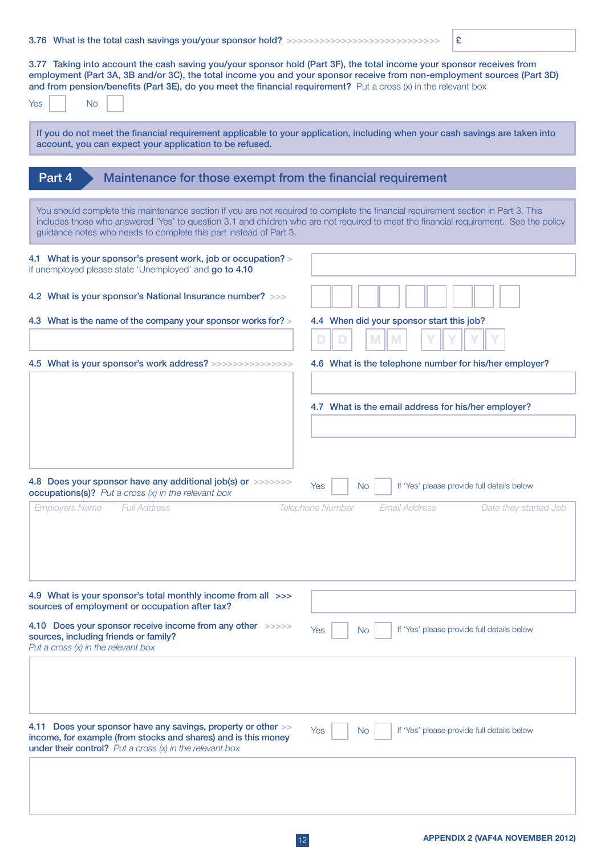# 3.76 What is the total cash savings you/your sponsor hold? >>>>>>>>>>>>>>>>>>>>>>>>>>>>>>>>>>  $\Big| \mathbf{E} \Big|$

3.77 Taking into account the cash saving you/your sponsor hold (Part 3F), the total income your sponsor receives from employment (Part 3A, 3B and/or 3C), the total income you and your sponsor receive from non-employment sources (Part 3D) and from pension/benefits (Part 3E), do you meet the financial requirement? Put a cross (x) in the relevant box

| and from pension/benefits (Part 3E), do you meet the financial requirement? Put a cross (x) in the relevant box<br><b>No</b><br>Yes                                                                     |                                                                                                                                       |
|---------------------------------------------------------------------------------------------------------------------------------------------------------------------------------------------------------|---------------------------------------------------------------------------------------------------------------------------------------|
| If you do not meet the financial requirement applicable to your application, including when your cash savings are taken into<br>account, you can expect your application to be refused.                 |                                                                                                                                       |
| Maintenance for those exempt from the financial requirement<br>Part 4                                                                                                                                   |                                                                                                                                       |
|                                                                                                                                                                                                         |                                                                                                                                       |
| You should complete this maintenance section if you are not required to complete the financial requirement section in Part 3. This<br>guidance notes who needs to complete this part instead of Part 3. | includes those who answered 'Yes' to question 3.1 and children who are not required to meet the financial requirement. See the policy |
| 4.1 What is your sponsor's present work, job or occupation? ><br>If unemployed please state 'Unemployed' and go to 4.10                                                                                 |                                                                                                                                       |
| 4.2 What is your sponsor's National Insurance number? >>>                                                                                                                                               |                                                                                                                                       |
| 4.3 What is the name of the company your sponsor works for? >                                                                                                                                           | 4.4 When did your sponsor start this job?<br>M<br>D<br>M                                                                              |
| 4.5 What is your sponsor's work address? >>>>>>>>>>>>>>>>>                                                                                                                                              | 4.6 What is the telephone number for his/her employer?                                                                                |
|                                                                                                                                                                                                         |                                                                                                                                       |
|                                                                                                                                                                                                         | 4.7 What is the email address for his/her employer?                                                                                   |
|                                                                                                                                                                                                         |                                                                                                                                       |
|                                                                                                                                                                                                         |                                                                                                                                       |
|                                                                                                                                                                                                         |                                                                                                                                       |
| 4.8 Does your sponsor have any additional job(s) or >>>>>>>><br>occupations(s)? Put a cross (x) in the relevant box                                                                                     | If 'Yes' please provide full details below<br><b>No</b><br>Yes                                                                        |
| <b>Employers Name</b><br><b>Full Address</b>                                                                                                                                                            | <b>Telephone Number</b><br><b>Email Address</b><br>Date they started Job                                                              |
|                                                                                                                                                                                                         |                                                                                                                                       |
|                                                                                                                                                                                                         |                                                                                                                                       |
|                                                                                                                                                                                                         |                                                                                                                                       |
| 4.9 What is your sponsor's total monthly income from all >>>                                                                                                                                            |                                                                                                                                       |
| sources of employment or occupation after tax?                                                                                                                                                          |                                                                                                                                       |
| 4.10 Does your sponsor receive income from any other >>>>>><br>sources, including friends or family?<br>Put a cross $(x)$ in the relevant box                                                           | If 'Yes' please provide full details below<br>Yes<br>No.                                                                              |
|                                                                                                                                                                                                         |                                                                                                                                       |
| 4.11 Does your sponsor have any savings, property or other >><br>income, for example (from stocks and shares) and is this money<br><b>under their control?</b> Put a cross $(x)$ in the relevant box    | If 'Yes' please provide full details below<br>Yes<br>N <sub>o</sub>                                                                   |
|                                                                                                                                                                                                         |                                                                                                                                       |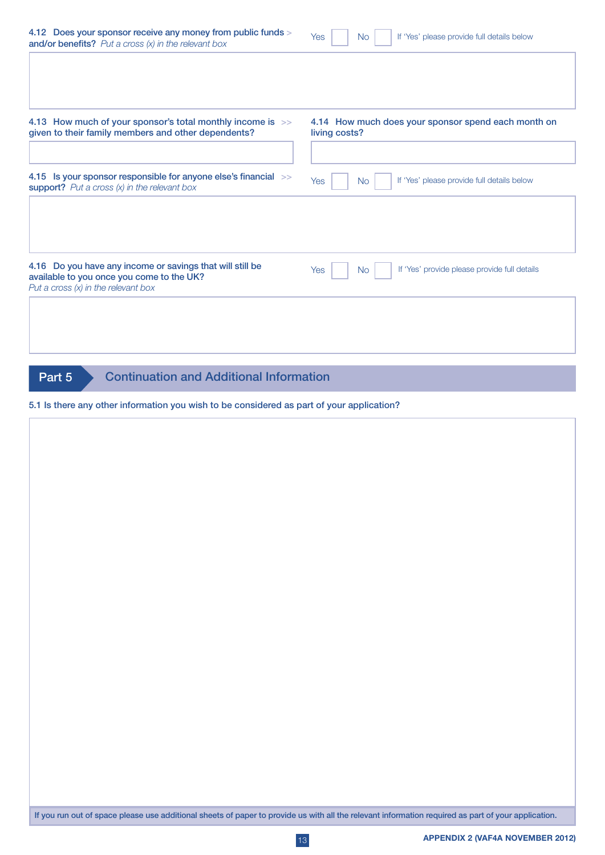| 4.12 Does your sponsor receive any money from public funds ><br>and/or benefits? Put a cross $(x)$ in the relevant box                                                               | If 'Yes' please provide full details below<br>Yes<br><b>No</b>       |
|--------------------------------------------------------------------------------------------------------------------------------------------------------------------------------------|----------------------------------------------------------------------|
| 4.13 How much of your sponsor's total monthly income is >><br>given to their family members and other dependents?<br>4.15 Is your sponsor responsible for anyone else's financial >> | 4.14 How much does your sponsor spend each month on<br>living costs? |
| support? Put a cross $(x)$ in the relevant box                                                                                                                                       | If 'Yes' please provide full details below<br>Yes<br><b>No</b>       |
| 4.16 Do you have any income or savings that will still be<br>available to you once you come to the UK?<br>Put a cross $(x)$ in the relevant box                                      | If 'Yes' provide please provide full details<br>Yes<br><b>No</b>     |
| <b>Continuation and Additional Information</b><br>Part 5<br>5.1 Is there any other information you wish to be considered as part of your application?                                |                                                                      |
|                                                                                                                                                                                      |                                                                      |
|                                                                                                                                                                                      |                                                                      |
|                                                                                                                                                                                      |                                                                      |
|                                                                                                                                                                                      |                                                                      |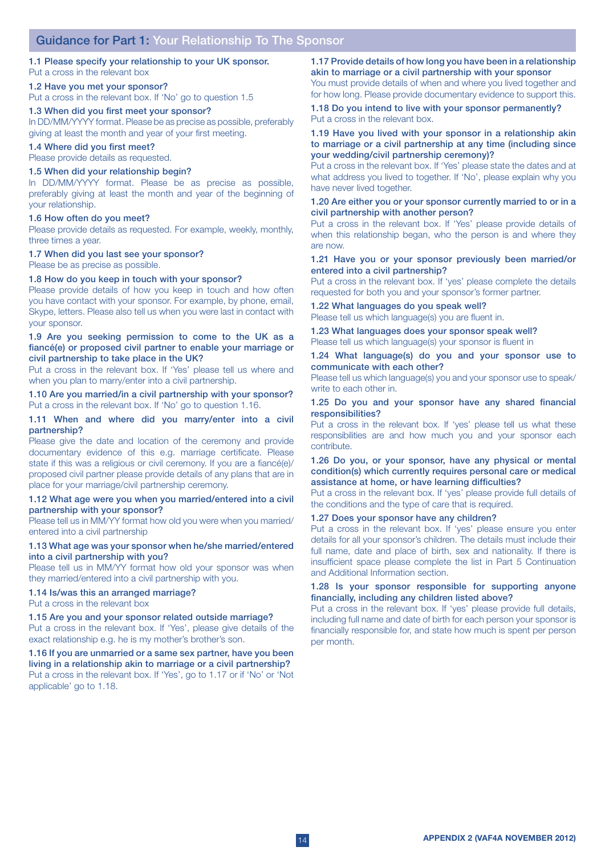#### 1.1 Please specify your relationship to your UK sponsor. Put a cross in the relevant box

## 1.2 Have you met your sponsor?

Put a cross in the relevant box. If 'No' go to question 1.5

#### 1.3 When did you first meet your sponsor?

In DD/MM/YYYY format. Please be as precise as possible, preferably giving at least the month and year of your first meeting.

#### 1.4 Where did you first meet?

Please provide details as requested.

# 1.5 When did your relationship begin?

In DD/MM/YYYY format. Please be as precise as possible, preferably giving at least the month and year of the beginning of your relationship.

#### 1.6 How often do you meet?

Please provide details as requested. For example, weekly, monthly, three times a year.

#### 1.7 When did you last see your sponsor?

Please be as precise as possible.

#### 1.8 How do you keep in touch with your sponsor?

Please provide details of how you keep in touch and how often you have contact with your sponsor. For example, by phone, email, Skype, letters. Please also tell us when you were last in contact with your sponsor.

#### 1.9 Are you seeking permission to come to the UK as a fiancé(e) or proposed civil partner to enable your marriage or civil partnership to take place in the UK?

Put a cross in the relevant box. If 'Yes' please tell us where and when you plan to marry/enter into a civil partnership.

1.10 Are you married/in a civil partnership with your sponsor? Put a cross in the relevant box. If 'No' go to question 1.16.

#### 1.11 When and where did you marry/enter into a civil partnership?

Please give the date and location of the ceremony and provide documentary evidence of this e.g. marriage certificate. Please state if this was a religious or civil ceremony. If you are a fiancé(e)/ proposed civil partner please provide details of any plans that are in place for your marriage/civil partnership ceremony.

#### 1.12 What age were you when you married/entered into a civil partnership with your sponsor?

Please tell us in MM/YY format how old you were when you married/ entered into a civil partnership

#### 1.13 What age was your sponsor when he/she married/entered into a civil partnership with you?

Please tell us in MM/YY format how old your sponsor was when they married/entered into a civil partnership with you.

## 1.14 Is/was this an arranged marriage?

Put a cross in the relevant box

#### 1.15 Are you and your sponsor related outside marriage?

Put a cross in the relevant box. If 'Yes', please give details of the exact relationship e.g. he is my mother's brother's son.

# 1.16 If you are unmarried or a same sex partner, have you been living in a relationship akin to marriage or a civil partnership?

Put a cross in the relevant box. If 'Yes', go to 1.17 or if 'No' or 'Not applicable' go to 1.18.

# 1.17 Provide details of how long you have been in a relationship akin to marriage or a civil partnership with your sponsor

You must provide details of when and where you lived together and for how long. Please provide documentary evidence to support this.

## 1.18 Do you intend to live with your sponsor permanently? Put a cross in the relevant box.

#### 1.19 Have you lived with your sponsor in a relationship akin to marriage or a civil partnership at any time (including since your wedding/civil partnership ceremony)?

Put a cross in the relevant box. If 'Yes' please state the dates and at what address you lived to together. If 'No', please explain why you have never lived together.

#### 1.20 Are either you or your sponsor currently married to or in a civil partnership with another person?

Put a cross in the relevant box. If 'Yes' please provide details of when this relationship began, who the person is and where they are now.

#### 1.21 Have you or your sponsor previously been married/or entered into a civil partnership?

Put a cross in the relevant box. If 'yes' please complete the details requested for both you and your sponsor's former partner.

# 1.22 What languages do you speak well?

Please tell us which language(s) you are fluent in.

#### 1.23 What languages does your sponsor speak well? Please tell us which language(s) your sponsor is fluent in

1.24 What language(s) do you and your sponsor use to communicate with each other?

Please tell us which language(s) you and your sponsor use to speak/ write to each other in.

#### 1.25 Do you and your sponsor have any shared financial responsibilities?

Put a cross in the relevant box. If 'yes' please tell us what these responsibilities are and how much you and your sponsor each contribute.

#### 1.26 Do you, or your sponsor, have any physical or mental condition(s) which currently requires personal care or medical assistance at home, or have learning difficulties?

Put a cross in the relevant box. If 'yes' please provide full details of the conditions and the type of care that is required.

#### 1.27 Does your sponsor have any children?

Put a cross in the relevant box. If 'yes' please ensure you enter details for all your sponsor's children. The details must include their full name, date and place of birth, sex and nationality. If there is insufficient space please complete the list in Part 5 Continuation and Additional Information section.

#### 1.28 Is your sponsor responsible for supporting anyone financially, including any children listed above?

Put a cross in the relevant box. If 'yes' please provide full details, including full name and date of birth for each person your sponsor is financially responsible for, and state how much is spent per person per month.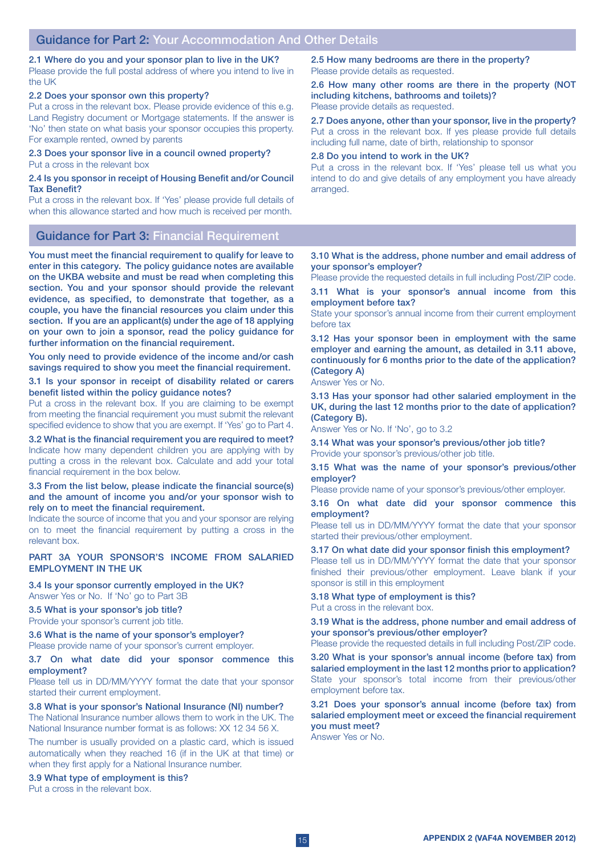2.1 Where do you and your sponsor plan to live in the UK? Please provide the full postal address of where you intend to live in the UK

#### 2.2 Does your sponsor own this property?

Put a cross in the relevant box. Please provide evidence of this e.g. Land Registry document or Mortgage statements. If the answer is 'No' then state on what basis your sponsor occupies this property. For example rented, owned by parents

### 2.3 Does your sponsor live in a council owned property? Put a cross in the relevant box

## 2.4 Is you sponsor in receipt of Housing Benefit and/or Council Tax Benefit?

Put a cross in the relevant box. If 'Yes' please provide full details of when this allowance started and how much is received per month.

Guidance for Part 3: Financial Requirement

You must meet the financial requirement to qualify for leave to enter in this category. The policy guidance notes are available on the UKBA website and must be read when completing this section. You and your sponsor should provide the relevant evidence, as specified, to demonstrate that together, as a couple, you have the financial resources you claim under this section. If you are an applicant(s) under the age of 18 applying on your own to join a sponsor, read the policy guidance for further information on the financial requirement.

You only need to provide evidence of the income and/or cash savings required to show you meet the financial requirement.

3.1 Is your sponsor in receipt of disability related or carers benefit listed within the policy guidance notes?

Put a cross in the relevant box. If you are claiming to be exempt from meeting the financial requirement you must submit the relevant specified evidence to show that you are exempt. If 'Yes' go to Part 4.

3.2 What is the financial requirement you are required to meet? Indicate how many dependent children you are applying with by putting a cross in the relevant box. Calculate and add your total financial requirement in the box below.

#### 3.3 From the list below, please indicate the financial source(s) and the amount of income you and/or your sponsor wish to rely on to meet the financial requirement.

Indicate the source of income that you and your sponsor are relying on to meet the financial requirement by putting a cross in the relevant box.

## PART 3A YOUR SPONSOR'S INCOME FROM SALARIED EMPLOYMENT IN THE UK

3.4 Is your sponsor currently employed in the UK? Answer Yes or No. If 'No' go to Part 3B

#### 3.5 What is your sponsor's job title? Provide your sponsor's current job title.

3.6 What is the name of your sponsor's employer? Please provide name of your sponsor's current employer.

#### 3.7 On what date did your sponsor commence this employment?

Please tell us in DD/MM/YYYY format the date that your sponsor started their current employment.

# 3.8 What is your sponsor's National Insurance (NI) number?

The National Insurance number allows them to work in the UK. The National Insurance number format is as follows: XX 12 34 56 X.

The number is usually provided on a plastic card, which is issued automatically when they reached 16 (if in the UK at that time) or when they first apply for a National Insurance number.

3.9 What type of employment is this?

Put a cross in the relevant box.

2.5 How many bedrooms are there in the property? Please provide details as requested.

2.6 How many other rooms are there in the property (NOT including kitchens, bathrooms and toilets)? Please provide details as requested.

2.7 Does anyone, other than your sponsor, live in the property? Put a cross in the relevant box. If yes please provide full details including full name, date of birth, relationship to sponsor

#### 2.8 Do you intend to work in the UK?

Put a cross in the relevant box. If 'Yes' please tell us what you intend to do and give details of any employment you have already arranged.

#### 3.10 What is the address, phone number and email address of your sponsor's employer?

Please provide the requested details in full including Post/ZIP code.

3.11 What is your sponsor's annual income from this employment before tax?

State your sponsor's annual income from their current employment before tax

3.12 Has your sponsor been in employment with the same employer and earning the amount, as detailed in 3.11 above, continuously for 6 months prior to the date of the application? (Category A)

Answer Yes or No.

3.13 Has your sponsor had other salaried employment in the UK, during the last 12 months prior to the date of application? (Category B).

Answer Yes or No. If 'No', go to 3.2

3.14 What was your sponsor's previous/other job title? Provide your sponsor's previous/other job title.

#### 3.15 What was the name of your sponsor's previous/other employer?

Please provide name of your sponsor's previous/other employer.

3.16 On what date did your sponsor commence this employment?

Please tell us in DD/MM/YYYY format the date that your sponsor started their previous/other employment.

3.17 On what date did your sponsor finish this employment? Please tell us in DD/MM/YYYY format the date that your sponsor finished their previous/other employment. Leave blank if your sponsor is still in this employment

#### 3.18 What type of employment is this?

Put a cross in the relevant box.

3.19 What is the address, phone number and email address of your sponsor's previous/other employer?

Please provide the requested details in full including Post/ZIP code.

3.20 What is your sponsor's annual income (before tax) from salaried employment in the last 12 months prior to application? State your sponsor's total income from their previous/other employment before tax.

## 3.21 Does your sponsor's annual income (before tax) from salaried employment meet or exceed the financial requirement you must meet?

Answer Yes or No.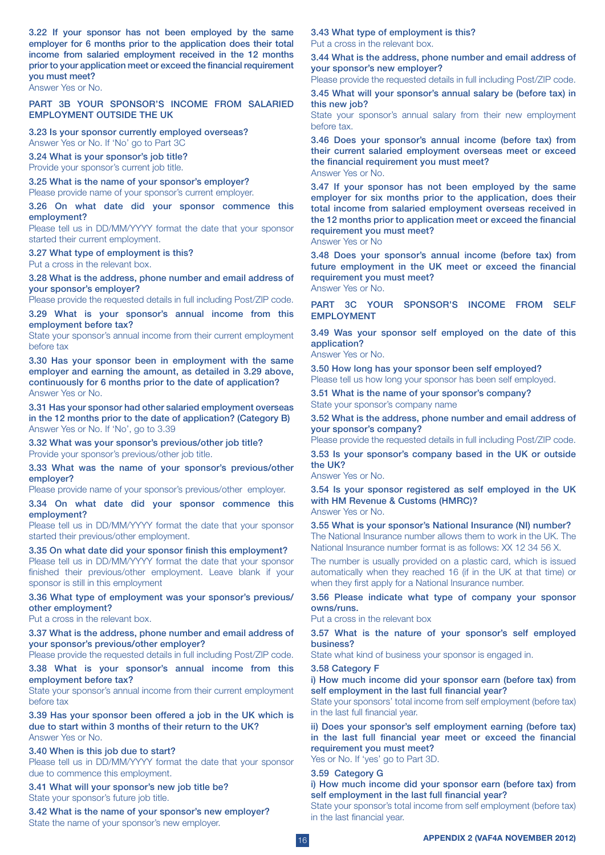3.22 If your sponsor has not been employed by the same employer for 6 months prior to the application does their total income from salaried employment received in the 12 months prior to your application meet or exceed the financial requirement you must meet?

Answer Yes or No.

### PART 3B YOUR SPONSOR'S INCOME FROM SALARIED EMPLOYMENT OUTSIDE THE UK

3.23 Is your sponsor currently employed overseas? Answer Yes or No. If 'No' go to Part 3C

3.24 What is your sponsor's job title? Provide your sponsor's current job title.

3.25 What is the name of your sponsor's employer? Please provide name of your sponsor's current employer.

3.26 On what date did your sponsor commence this employment?

Please tell us in DD/MM/YYYY format the date that your sponsor started their current employment.

3.27 What type of employment is this?

Put a cross in the relevant box.

3.28 What is the address, phone number and email address of your sponsor's employer?

Please provide the requested details in full including Post/ZIP code.

3.29 What is your sponsor's annual income from this employment before tax?

State your sponsor's annual income from their current employment before tax

3.30 Has your sponsor been in employment with the same employer and earning the amount, as detailed in 3.29 above, continuously for 6 months prior to the date of application? Answer Yes or No.

3.31 Has your sponsor had other salaried employment overseas in the 12 months prior to the date of application? (Category B) Answer Yes or No. If 'No', go to 3.39

3.32 What was your sponsor's previous/other job title? Provide your sponsor's previous/other job title.

3.33 What was the name of your sponsor's previous/other employer?

Please provide name of your sponsor's previous/other employer.

3.34 On what date did your sponsor commence this employment?

Please tell us in DD/MM/YYYY format the date that your sponsor started their previous/other employment.

3.35 On what date did your sponsor finish this employment? Please tell us in DD/MM/YYYY format the date that your sponsor

finished their previous/other employment. Leave blank if your sponsor is still in this employment

3.36 What type of employment was your sponsor's previous/ other employment?

Put a cross in the relevant box.

3.37 What is the address, phone number and email address of your sponsor's previous/other employer?

Please provide the requested details in full including Post/ZIP code.

3.38 What is your sponsor's annual income from this employment before tax?

State your sponsor's annual income from their current employment before tax

3.39 Has your sponsor been offered a job in the UK which is due to start within 3 months of their return to the UK? Answer Yes or No.

3.40 When is this job due to start?

Please tell us in DD/MM/YYYY format the date that your sponsor due to commence this employment.

3.41 What will your sponsor's new job title be? State your sponsor's future job title.

3.42 What is the name of your sponsor's new employer? State the name of your sponsor's new employer.

3.43 What type of employment is this? Put a cross in the relevant box.

3.44 What is the address, phone number and email address of your sponsor's new employer?

Please provide the requested details in full including Post/ZIP code.

3.45 What will your sponsor's annual salary be (before tax) in this new job?

State your sponsor's annual salary from their new employment before tax.

3.46 Does your sponsor's annual income (before tax) from their current salaried employment overseas meet or exceed the financial requirement you must meet? Answer Yes or No.

3.47 If your sponsor has not been employed by the same employer for six months prior to the application, does their total income from salaried employment overseas received in the 12 months prior to application meet or exceed the financial requirement you must meet?

Answer Yes or No

3.48 Does your sponsor's annual income (before tax) from future employment in the UK meet or exceed the financial requirement you must meet? Answer Yes or No.

PART 3C YOUR SPONSOR'S INCOME FROM SELF EMPLOYMENT

3.49 Was your sponsor self employed on the date of this application?

Answer Yes or No.

3.50 How long has your sponsor been self employed? Please tell us how long your sponsor has been self employed.

3.51 What is the name of your sponsor's company? State your sponsor's company name

3.52 What is the address, phone number and email address of your sponsor's company?

Please provide the requested details in full including Post/ZIP code.

3.53 Is your sponsor's company based in the UK or outside the UK?

Answer Yes or No.

3.54 Is your sponsor registered as self employed in the UK with HM Revenue & Customs (HMRC)? Answer Yes or No.

3.55 What is your sponsor's National Insurance (NI) number? The National Insurance number allows them to work in the UK. The National Insurance number format is as follows: XX 12 34 56 X.

The number is usually provided on a plastic card, which is issued automatically when they reached 16 (if in the UK at that time) or when they first apply for a National Insurance number.

3.56 Please indicate what type of company your sponsor owns/runs.

Put a cross in the relevant box

3.57 What is the nature of your sponsor's self employed business?

State what kind of business your sponsor is engaged in.

#### 3.58 Category F

i) How much income did your sponsor earn (before tax) from self employment in the last full financial year?

State your sponsors' total income from self employment (before tax) in the last full financial year.

ii) Does your sponsor's self employment earning (before tax) in the last full financial year meet or exceed the financial requirement you must meet?

Yes or No. If 'yes' go to Part 3D.

#### 3.59 Category G

i) How much income did your sponsor earn (before tax) from self employment in the last full financial year?

State your sponsor's total income from self employment (before tax) in the last financial year.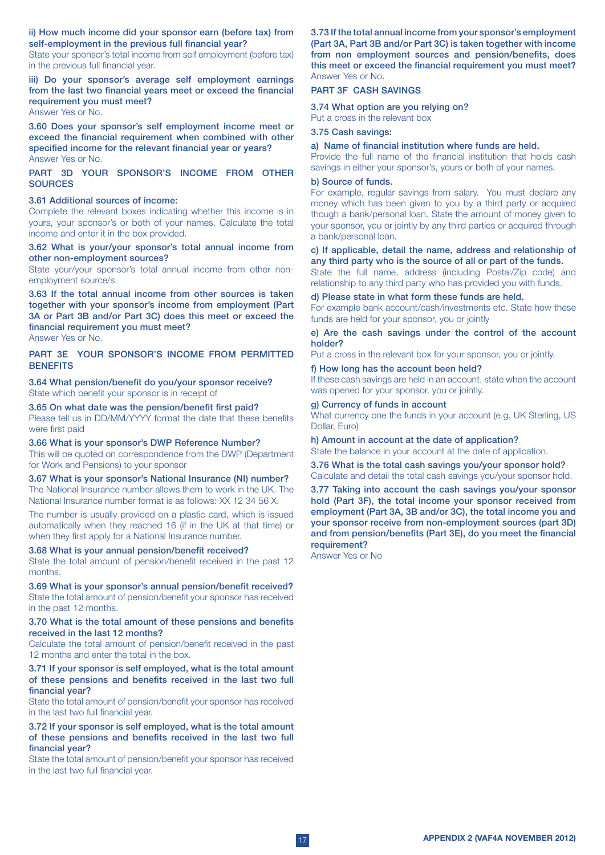ii) How much income did your sponsor earn (before tax) from self-employment in the previous full financial year?

State your sponsor's total income from self employment (before tax) in the previous full financial year.

iii) Do your sponsor's average self employment earnings from the last two financial years meet or exceed the financial requirement you must meet?

Answer Yes or No.

3.60 Does your sponsor's self employment income meet or exceed the financial requirement when combined with other specified income for the relevant financial year or years? Answer Yes or No.

PART 3D YOUR SPONSOR'S INCOME FROM OTHER **SOURCES** 

#### 3.61 Additional sources of income:

Complete the relevant boxes indicating whether this income is in yours, your sponsor's or both of your names. Calculate the total income and enter it in the box provided.

3.62 What is your/your sponsor's total annual income from other non-employment sources?

State your/your sponsor's total annual income from other nonemployment source/s.

3.63 If the total annual income from other sources is taken together with your sponsor's income from employment (Part 3A or Part 3B and/or Part 3C) does this meet or exceed the financial requirement you must meet? Answer Yes or No.

## PART 3E YOUR SPONSOR'S INCOME FROM PERMITTED **BENEFITS**

3.64 What pension/benefit do you/your sponsor receive? State which benefit your sponsor is in receipt of

3.65 On what date was the pension/benefit first paid? Please tell us in DD/MM/YYYY format the date that these benefits were first paid

#### 3.66 What is your sponsor's DWP Reference Number?

This will be quoted on correspondence from the DWP (Department for Work and Pensions) to your sponsor

### 3.67 What is your sponsor's National Insurance (NI) number?

The National Insurance number allows them to work in the UK. The National Insurance number format is as follows: XX 12 34 56 X.

The number is usually provided on a plastic card, which is issued automatically when they reached 16 (if in the UK at that time) or when they first apply for a National Insurance number.

#### 3.68 What is your annual pension/benefit received?

State the total amount of pension/benefit received in the past 12 months.

3.69 What is your sponsor's annual pension/benefit received? State the total amount of pension/benefit your sponsor has received in the past 12 months.

#### 3.70 What is the total amount of these pensions and benefits received in the last 12 months?

Calculate the total amount of pension/benefit received in the past 12 months and enter the total in the box.

#### 3.71 If your sponsor is self employed, what is the total amount of these pensions and benefits received in the last two full financial year?

State the total amount of pension/benefit your sponsor has received in the last two full financial year.

### 3.72 If your sponsor is self employed, what is the total amount of these pensions and benefits received in the last two full financial year?

State the total amount of pension/benefit your sponsor has received in the last two full financial year.

3.73 If the total annual income from your sponsor's employment (Part 3A, Part 3B and/or Part 3C) is taken together with income from non employment sources and pension/benefits, does this meet or exceed the financial requirement you must meet? Answer Yes or No.

#### PART 3F CASH SAVINGS

3.74 What option are you relying on?

Put a cross in the relevant box

#### 3.75 Cash savings:

#### a) Name of financial institution where funds are held.

Provide the full name of the financial institution that holds cash savings in either your sponsor's, yours or both of your names.

#### b) Source of funds.

For example, regular savings from salary. You must declare any money which has been given to you by a third party or acquired though a bank/personal loan. State the amount of money given to your sponsor, you or jointly by any third parties or acquired through a bank/personal loan.

#### c) If applicable, detail the name, address and relationship of any third party who is the source of all or part of the funds.

State the full name, address (including Postal/Zip code) and relationship to any third party who has provided you with funds.

#### d) Please state in what form these funds are held.

For example bank account/cash/investments etc. State how these funds are held for your sponsor, you or jointly

e) Are the cash savings under the control of the account holder?

Put a cross in the relevant box for your sponsor, you or jointly.

#### f) How long has the account been held?

If these cash savings are held in an account, state when the account was opened for your sponsor, you or jointly.

#### g) Currency of funds in account

What currency one the funds in your account (e.g. UK Sterling, US Dollar, Euro)

#### h) Amount in account at the date of application?

State the balance in your account at the date of application.

3.76 What is the total cash savings you/your sponsor hold? Calculate and detail the total cash savings you/your sponsor hold.

3.77 Taking into account the cash savings you/your sponsor hold (Part 3F), the total income your sponsor received from employment (Part 3A, 3B and/or 3C), the total income you and your sponsor receive from non-employment sources (part 3D) and from pension/benefits (Part 3E), do you meet the financial requirement?

Answer Yes or No